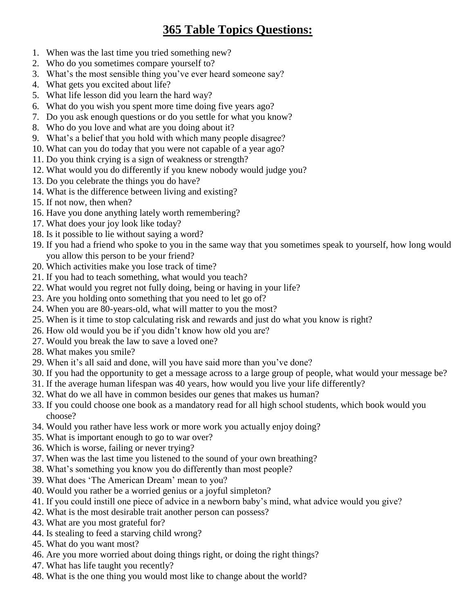## **365 Table Topics Questions:**

- 1. When was the last time you tried something new?
- 2. Who do you sometimes compare yourself to?
- 3. What's the most sensible thing you've ever heard someone say?
- 4. What gets you excited about life?
- 5. What life lesson did you learn the hard way?
- 6. What do you wish you spent more time doing five years ago?
- 7. Do you ask enough questions or do you settle for what you know?
- 8. Who do you love and what are you doing about it?
- 9. What's a belief that you hold with which many people disagree?
- 10. What can you do today that you were not capable of a year ago?
- 11. Do you think crying is a sign of weakness or strength?
- 12. What would you do differently if you knew nobody would judge you?
- 13. Do you celebrate the things you do have?
- 14. What is the difference between living and existing?
- 15. If not now, then when?
- 16. Have you done anything lately worth remembering?
- 17. What does your joy look like today?
- 18. Is it possible to lie without saying a word?
- 19. If you had a friend who spoke to you in the same way that you sometimes speak to yourself, how long would you allow this person to be your friend?
- 20. Which activities make you lose track of time?
- 21. If you had to teach something, what would you teach?
- 22. What would you regret not fully doing, being or having in your life?
- 23. Are you holding onto something that you need to let go of?
- 24. When you are 80-years-old, what will matter to you the most?
- 25. When is it time to stop calculating risk and rewards and just do what you know is right?
- 26. How old would you be if you didn't know how old you are?
- 27. Would you break the law to save a loved one?
- 28. What makes you smile?
- 29. When it's all said and done, will you have said more than you've done?
- 30. If you had the opportunity to get a message across to a large group of people, what would your message be?
- 31. If the average human lifespan was 40 years, how would you live your life differently?
- 32. What do we all have in common besides our genes that makes us human?
- 33. If you could choose one book as a mandatory read for all high school students, which book would you choose?
- 34. Would you rather have less work or more work you actually enjoy doing?
- 35. What is important enough to go to war over?
- 36. Which is worse, failing or never trying?
- 37. When was the last time you listened to the sound of your own breathing?
- 38. What's something you know you do differently than most people?
- 39. What does 'The American Dream' mean to you?
- 40. Would you rather be a worried genius or a joyful simpleton?
- 41. If you could instill one piece of advice in a newborn baby's mind, what advice would you give?
- 42. What is the most desirable trait another person can possess?
- 43. What are you most grateful for?
- 44. Is stealing to feed a starving child wrong?
- 45. What do you want most?
- 46. Are you more worried about doing things right, or doing the right things?
- 47. What has life taught you recently?
- 48. What is the one thing you would most like to change about the world?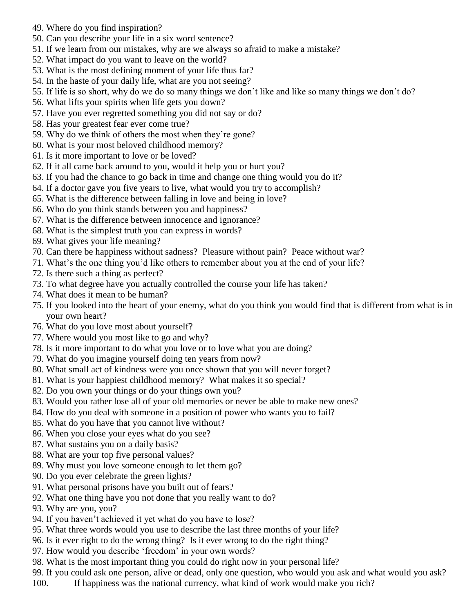- 49. Where do you find inspiration?
- 50. Can you describe your life in a six word sentence?
- 51. If we learn from our mistakes, why are we always so afraid to make a mistake?
- 52. What impact do you want to leave on the world?
- 53. What is the most defining moment of your life thus far?
- 54. In the haste of your daily life, what are you not seeing?
- 55. If life is so short, why do we do so many things we don't like and like so many things we don't do?
- 56. What lifts your spirits when life gets you down?
- 57. Have you ever regretted something you did not say or do?
- 58. Has your greatest fear ever come true?
- 59. Why do we think of others the most when they're gone?
- 60. What is your most beloved childhood memory?
- 61. Is it more important to love or be loved?
- 62. If it all came back around to you, would it help you or hurt you?
- 63. If you had the chance to go back in time and change one thing would you do it?
- 64. If a doctor gave you five years to live, what would you try to accomplish?
- 65. What is the difference between falling in love and being in love?
- 66. Who do you think stands between you and happiness?
- 67. What is the difference between innocence and ignorance?
- 68. What is the simplest truth you can express in words?
- 69. What gives your life meaning?
- 70. Can there be happiness without sadness? Pleasure without pain? Peace without war?
- 71. What's the one thing you'd like others to remember about you at the end of your life?
- 72. Is there such a thing as perfect?
- 73. To what degree have you actually controlled the course your life has taken?
- 74. What does it mean to be human?
- 75. If you looked into the heart of your enemy, what do you think you would find that is different from what is in your own heart?
- 76. What do you love most about yourself?
- 77. Where would you most like to go and why?
- 78. Is it more important to do what you love or to love what you are doing?
- 79. What do you imagine yourself doing ten years from now?
- 80. What small act of kindness were you once shown that you will never forget?
- 81. What is your happiest childhood memory? What makes it so special?
- 82. Do you own your things or do your things own you?
- 83. Would you rather lose all of your old memories or never be able to make new ones?
- 84. How do you deal with someone in a position of power who wants you to fail?
- 85. What do you have that you cannot live without?
- 86. When you close your eyes what do you see?
- 87. What sustains you on a daily basis?
- 88. What are your top five personal values?
- 89. Why must you love someone enough to let them go?
- 90. Do you ever celebrate the green lights?
- 91. What personal prisons have you built out of fears?
- 92. What one thing have you not done that you really want to do?
- 93. Why are you, you?
- 94. If you haven't achieved it yet what do you have to lose?
- 95. What three words would you use to describe the last three months of your life?
- 96. Is it ever right to do the wrong thing? Is it ever wrong to do the right thing?
- 97. How would you describe 'freedom' in your own words?
- 98. What is the most important thing you could do right now in your personal life?
- 99. If you could ask one person, alive or dead, only one question, who would you ask and what would you ask?
- 100. If happiness was the national currency, what kind of work would make you rich?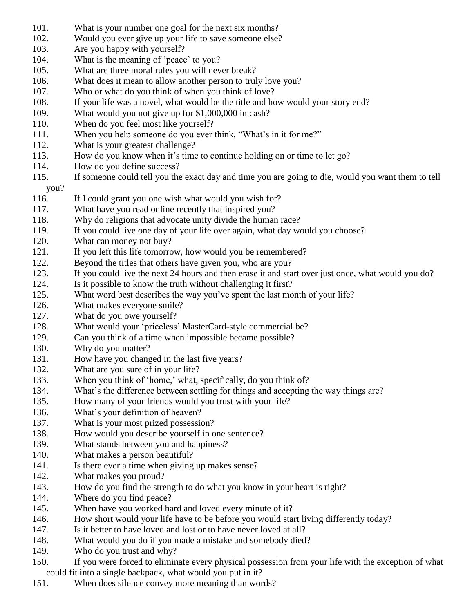- 101. What is your number one goal for the next six months?
- 102. Would you ever give up your life to save someone else?
- 103. Are you happy with yourself?
- 104. What is the meaning of 'peace' to you?
- 105. What are three moral rules you will never break?
- 106. What does it mean to allow another person to truly love you?
- 107. Who or what do you think of when you think of love?
- 108. If your life was a novel, what would be the title and how would your story end?
- 109. What would you not give up for \$1,000,000 in cash?
- 110. When do you feel most like yourself?
- 111. When you help someone do you ever think, "What's in it for me?"
- 112. What is your greatest challenge?
- 113. How do you know when it's time to continue holding on or time to let go?
- 114. How do you define success?
- 115. If someone could tell you the exact day and time you are going to die, would you want them to tell

## you?

- 116. If I could grant you one wish what would you wish for?
- 117. What have you read online recently that inspired you?
- 118. Why do religions that advocate unity divide the human race?
- 119. If you could live one day of your life over again, what day would you choose?
- 120. What can money not buy?
- 121. If you left this life tomorrow, how would you be remembered?
- 122. Beyond the titles that others have given you, who are you?
- 123. If you could live the next 24 hours and then erase it and start over just once, what would you do?
- 124. Is it possible to know the truth without challenging it first?
- 125. What word best describes the way you've spent the last month of your life?
- 126. What makes everyone smile?
- 127. What do you owe yourself?
- 128. What would your 'priceless' MasterCard-style commercial be?
- 129. Can you think of a time when impossible became possible?
- 130. Why do you matter?
- 131. How have you changed in the last five years?
- 132. What are you sure of in your life?
- 133. When you think of 'home,' what, specifically, do you think of?
- 134. What's the difference between settling for things and accepting the way things are?
- 135. How many of your friends would you trust with your life?
- 136. What's your definition of heaven?
- 137. What is your most prized possession?
- 138. How would you describe yourself in one sentence?
- 139. What stands between you and happiness?
- 140. What makes a person beautiful?
- 141. Is there ever a time when giving up makes sense?
- 142. What makes you proud?
- 143. How do you find the strength to do what you know in your heart is right?
- 144. Where do you find peace?
- 145. When have you worked hard and loved every minute of it?
- 146. How short would your life have to be before you would start living differently today?
- 147. Is it better to have loved and lost or to have never loved at all?
- 148. What would you do if you made a mistake and somebody died?
- 149. Who do you trust and why?
- 150. If you were forced to eliminate every physical possession from your life with the exception of what could fit into a single backpack, what would you put in it?
- 151. When does silence convey more meaning than words?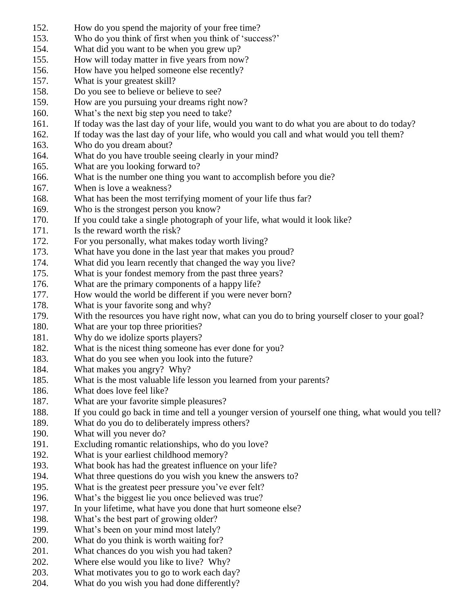- 152. How do you spend the majority of your free time?
- 153. Who do you think of first when you think of 'success?'
- 154. What did you want to be when you grew up?
- 155. How will today matter in five years from now?
- 156. How have you helped someone else recently?
- 157. What is your greatest skill?
- 158. Do you see to believe or believe to see?
- 159. How are you pursuing your dreams right now?
- 160. What's the next big step you need to take?
- 161. If today was the last day of your life, would you want to do what you are about to do today?
- 162. If today was the last day of your life, who would you call and what would you tell them?
- 163. Who do you dream about?
- 164. What do you have trouble seeing clearly in your mind?
- 165. What are you looking forward to?
- 166. What is the number one thing you want to accomplish before you die?
- 167. When is love a weakness?
- 168. What has been the most terrifying moment of your life thus far?
- 169. Who is the strongest person you know?
- 170. If you could take a single photograph of your life, what would it look like?
- 171. Is the reward worth the risk?
- 172. For you personally, what makes today worth living?
- 173. What have you done in the last year that makes you proud?
- 174. What did you learn recently that changed the way you live?
- 175. What is your fondest memory from the past three years?
- 176. What are the primary components of a happy life?
- 177. How would the world be different if you were never born?
- 178. What is your favorite song and why?
- 179. With the resources you have right now, what can you do to bring yourself closer to your goal?
- 180. What are your top three priorities?
- 181. Why do we idolize sports players?
- 182. What is the nicest thing someone has ever done for you?
- 183. What do you see when you look into the future?
- 184. What makes you angry? Why?
- 185. What is the most valuable life lesson you learned from your parents?
- 186. What does love feel like?
- 187. What are your favorite simple pleasures?
- 188. If you could go back in time and tell a younger version of yourself one thing, what would you tell?
- 189. What do you do to deliberately impress others?
- 190. What will you never do?
- 191. Excluding romantic relationships, who do you love?
- 192. What is your earliest childhood memory?
- 193. What book has had the greatest influence on your life?
- 194. What three questions do you wish you knew the answers to?
- 195. What is the greatest peer pressure you've ever felt?
- 196. What's the biggest lie you once believed was true?
- 197. In your lifetime, what have you done that hurt someone else?
- 198. What's the best part of growing older?
- 199. What's been on your mind most lately?
- 200. What do you think is worth waiting for?
- 201. What chances do you wish you had taken?
- 202. Where else would you like to live? Why?
- 203. What motivates you to go to work each day?
- 204. What do you wish you had done differently?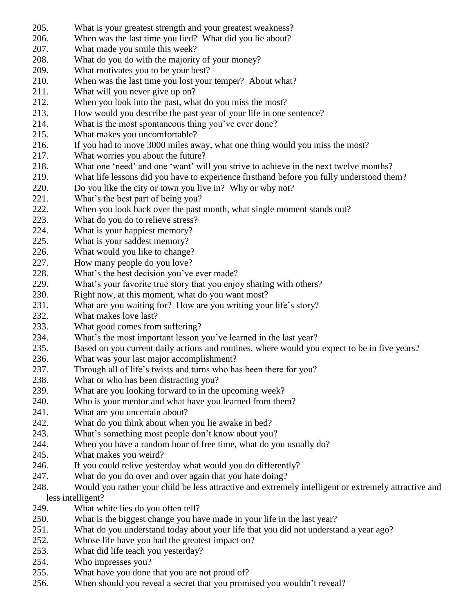- 205. What is your greatest strength and your greatest weakness?
- 206. When was the last time you lied? What did you lie about?
- 207. What made you smile this week?
- 208. What do you do with the majority of your money?
- 209. What motivates you to be your best?
- 210. When was the last time you lost your temper? About what?
- 211. What will you never give up on?
- 212. When you look into the past, what do you miss the most?
- 213. How would you describe the past year of your life in one sentence?
- 214. What is the most spontaneous thing you've ever done?
- 215. What makes you uncomfortable?
- 216. If you had to move 3000 miles away, what one thing would you miss the most?
- 217. What worries you about the future?
- 218. What one 'need' and one 'want' will you strive to achieve in the next twelve months?
- 219. What life lessons did you have to experience firsthand before you fully understood them?
- 220. Do you like the city or town you live in? Why or why not?
- 221. What's the best part of being you?
- 222. When you look back over the past month, what single moment stands out?
- 223. What do you do to relieve stress?
- 224. What is your happiest memory?
- 225. What is your saddest memory?
- 226. What would you like to change?
- 227. How many people do you love?
- 228. What's the best decision you've ever made?
- 229. What's your favorite true story that you enjoy sharing with others?
- 230. Right now, at this moment, what do you want most?
- 231. What are you waiting for? How are you writing your life's story?
- 232. What makes love last?
- 233. What good comes from suffering?
- 234. What's the most important lesson you've learned in the last year?
- 235. Based on you current daily actions and routines, where would you expect to be in five years?
- 236. What was your last major accomplishment?
- 237. Through all of life's twists and turns who has been there for you?
- 238. What or who has been distracting you?
- 239. What are you looking forward to in the upcoming week?
- 240. Who is your mentor and what have you learned from them?
- 241. What are you uncertain about?
- 242. What do you think about when you lie awake in bed?
- 243. What's something most people don't know about you?
- 244. When you have a random hour of free time, what do you usually do?
- 245. What makes you weird?
- 246. If you could relive yesterday what would you do differently?
- 247. What do you do over and over again that you hate doing?
- 248. Would you rather your child be less attractive and extremely intelligent or extremely attractive and less intelligent?
- 249. What white lies do you often tell?
- 250. What is the biggest change you have made in your life in the last year?
- 251. What do you understand today about your life that you did not understand a year ago?
- 252. Whose life have you had the greatest impact on?
- 253. What did life teach you yesterday?
- 254. Who impresses you?
- 255. What have you done that you are not proud of?
- 256. When should you reveal a secret that you promised you wouldn't reveal?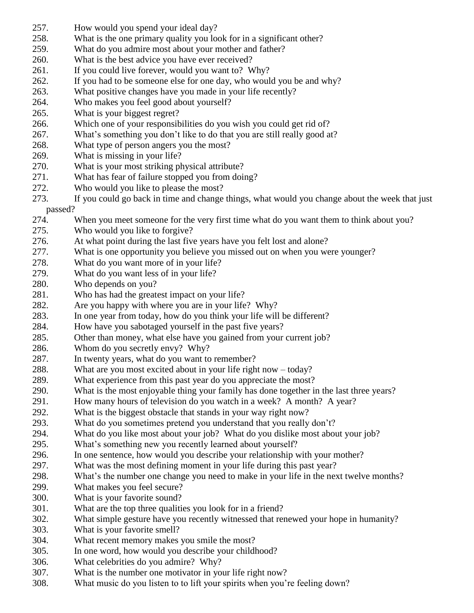- 257. How would you spend your ideal day?
- 258. What is the one primary quality you look for in a significant other?
- 259. What do you admire most about your mother and father?
- 260. What is the best advice you have ever received?
- 261. If you could live forever, would you want to? Why?
- 262. If you had to be someone else for one day, who would you be and why?
- 263. What positive changes have you made in your life recently?
- 264. Who makes you feel good about yourself?
- 265. What is your biggest regret?
- 266. Which one of your responsibilities do you wish you could get rid of?
- 267. What's something you don't like to do that you are still really good at?
- 268. What type of person angers you the most?
- 269. What is missing in your life?
- 270. What is your most striking physical attribute?
- 271. What has fear of failure stopped you from doing?
- 272. Who would you like to please the most?
- 273. If you could go back in time and change things, what would you change about the week that just passed?
	-
- 274. When you meet someone for the very first time what do you want them to think about you?
- 275. Who would you like to forgive?
- 276. At what point during the last five years have you felt lost and alone?
- 277. What is one opportunity you believe you missed out on when you were younger?
- 278. What do you want more of in your life?
- 279. What do you want less of in your life?
- 280. Who depends on you?
- 281. Who has had the greatest impact on your life?
- 282. Are you happy with where you are in your life? Why?
- 283. In one year from today, how do you think your life will be different?
- 284. How have you sabotaged yourself in the past five years?
- 285. Other than money, what else have you gained from your current job?
- 286. Whom do you secretly envy? Why?
- 287. In twenty years, what do you want to remember?
- 288. What are you most excited about in your life right now today?
- 289. What experience from this past year do you appreciate the most?
- 290. What is the most enjoyable thing your family has done together in the last three years?
- 291. How many hours of television do you watch in a week? A month? A year?
- 292. What is the biggest obstacle that stands in your way right now?
- 293. What do you sometimes pretend you understand that you really don't?
- 294. What do you like most about your job? What do you dislike most about your job?
- 295. What's something new you recently learned about yourself?
- 296. In one sentence, how would you describe your relationship with your mother?
- 297. What was the most defining moment in your life during this past year?
- 298. What's the number one change you need to make in your life in the next twelve months?
- 299. What makes you feel secure?
- 300. What is your favorite sound?
- 301. What are the top three qualities you look for in a friend?
- 302. What simple gesture have you recently witnessed that renewed your hope in humanity?
- 303. What is your favorite smell?
- 304. What recent memory makes you smile the most?
- 305. In one word, how would you describe your childhood?
- 306. What celebrities do you admire? Why?
- 307. What is the number one motivator in your life right now?
- 308. What music do you listen to to lift your spirits when you're feeling down?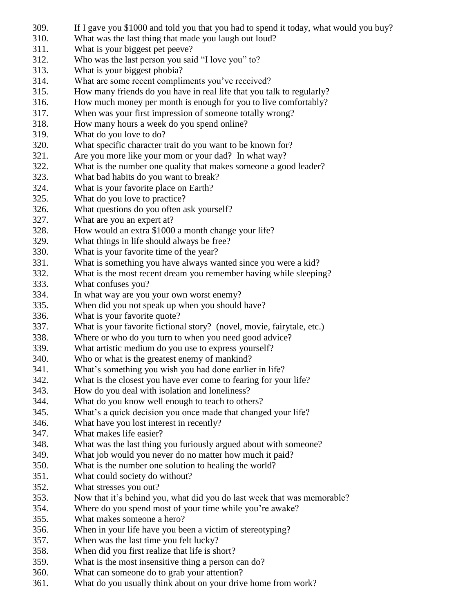- 309. If I gave you \$1000 and told you that you had to spend it today, what would you buy?
- 310. What was the last thing that made you laugh out loud?
- 311. What is your biggest pet peeve?
- 312. Who was the last person you said "I love you" to?
- 313. What is your biggest phobia?
- 314. What are some recent compliments you've received?
- 315. How many friends do you have in real life that you talk to regularly?
- 316. How much money per month is enough for you to live comfortably?
- 317. When was your first impression of someone totally wrong?
- 318. How many hours a week do you spend online?
- 319. What do you love to do?
- 320. What specific character trait do you want to be known for?
- 321. Are you more like your mom or your dad? In what way?
- 322. What is the number one quality that makes someone a good leader?
- 323. What bad habits do you want to break?
- 324. What is your favorite place on Earth?
- 325. What do you love to practice?
- 326. What questions do you often ask yourself?
- 327. What are you an expert at?
- 328. How would an extra \$1000 a month change your life?
- 329. What things in life should always be free?
- 330. What is your favorite time of the year?
- 331. What is something you have always wanted since you were a kid?
- 332. What is the most recent dream you remember having while sleeping?
- 333. What confuses you?
- 334. In what way are you your own worst enemy?
- 335. When did you not speak up when you should have?
- 336. What is your favorite quote?
- 337. What is your favorite fictional story? (novel, movie, fairytale, etc.)
- 338. Where or who do you turn to when you need good advice?
- 339. What artistic medium do you use to express yourself?
- 340. Who or what is the greatest enemy of mankind?
- 341. What's something you wish you had done earlier in life?
- 342. What is the closest you have ever come to fearing for your life?
- 343. How do you deal with isolation and loneliness?
- 344. What do you know well enough to teach to others?
- 345. What's a quick decision you once made that changed your life?
- 346. What have you lost interest in recently?
- 347. What makes life easier?
- 348. What was the last thing you furiously argued about with someone?
- 349. What job would you never do no matter how much it paid?
- 350. What is the number one solution to healing the world?
- 351. What could society do without?
- 352. What stresses you out?
- 353. Now that it's behind you, what did you do last week that was memorable?
- 354. Where do you spend most of your time while you're awake?
- 355. What makes someone a hero?
- 356. When in your life have you been a victim of stereotyping?
- 357. When was the last time you felt lucky?
- 358. When did you first realize that life is short?
- 359. What is the most insensitive thing a person can do?
- 360. What can someone do to grab your attention?
- 361. What do you usually think about on your drive home from work?